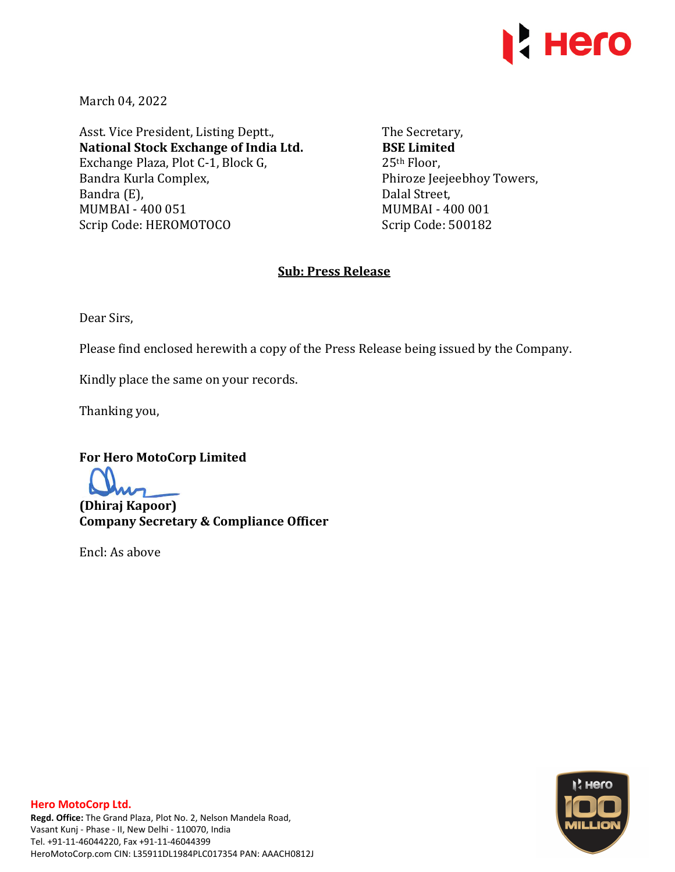

March 04, 2022

Asst. Vice President, Listing Deptt., **National Stock Exchange of India Ltd.**  Exchange Plaza, Plot C-1, Block G, Bandra Kurla Complex, Bandra (E), MUMBAI - 400 051 Scrip Code: HEROMOTOCO

The Secretary, **BSE Limited**  25th Floor, Phiroze Jeejeebhoy Towers, Dalal Street, MUMBAI - 400 001 Scrip Code: 500182

#### **Sub: Press Release**

Dear Sirs,

Please find enclosed herewith a copy of the Press Release being issued by the Company.

Kindly place the same on your records.

Thanking you,

**For Hero MotoCorp Limited** 

**(Dhiraj Kapoor) Company Secretary & Compliance Officer** 

Encl: As above

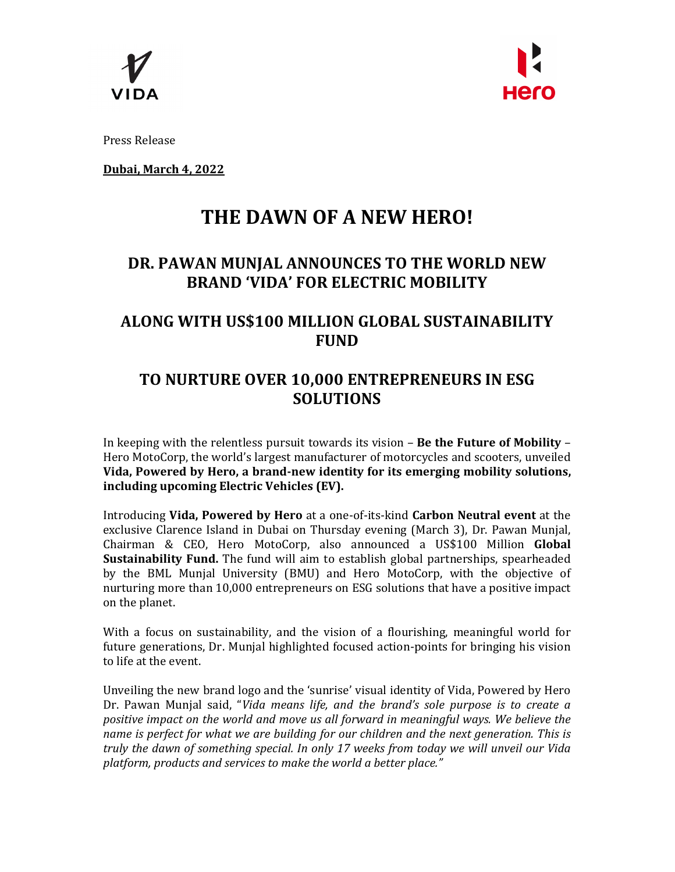



Press Release

**Dubai, March 4, 2022** 

# **THE DAWN OF A NEW HERO!**

# **DR. PAWAN MUNJAL ANNOUNCES TO THE WORLD NEW BRAND 'VIDA' FOR ELECTRIC MOBILITY**

### **ALONG WITH US\$100 MILLION GLOBAL SUSTAINABILITY FUND**

## **TO NURTURE OVER 10,000 ENTREPRENEURS IN ESG SOLUTIONS**

In keeping with the relentless pursuit towards its vision – **Be the Future of Mobility** – Hero MotoCorp, the world's largest manufacturer of motorcycles and scooters, unveiled **Vida, Powered by Hero, a brand-new identity for its emerging mobility solutions, including upcoming Electric Vehicles (EV).** 

Introducing **Vida, Powered by Hero** at a one-of-its-kind **Carbon Neutral event** at the exclusive Clarence Island in Dubai on Thursday evening (March 3), Dr. Pawan Munjal, Chairman & CEO, Hero MotoCorp, also announced a US\$100 Million **Global Sustainability Fund.** The fund will aim to establish global partnerships, spearheaded by the BML Munjal University (BMU) and Hero MotoCorp, with the objective of nurturing more than 10,000 entrepreneurs on ESG solutions that have a positive impact on the planet.

With a focus on sustainability, and the vision of a flourishing, meaningful world for future generations, Dr. Munjal highlighted focused action-points for bringing his vision to life at the event.

Unveiling the new brand logo and the 'sunrise' visual identity of Vida, Powered by Hero Dr. Pawan Munjal said, "*Vida means life, and the brand's sole purpose is to create a positive impact on the world and move us all forward in meaningful ways. We believe the name is perfect for what we are building for our children and the next generation. This is truly the dawn of something special. In only 17 weeks from today we will unveil our Vida platform, products and services to make the world a better place."*